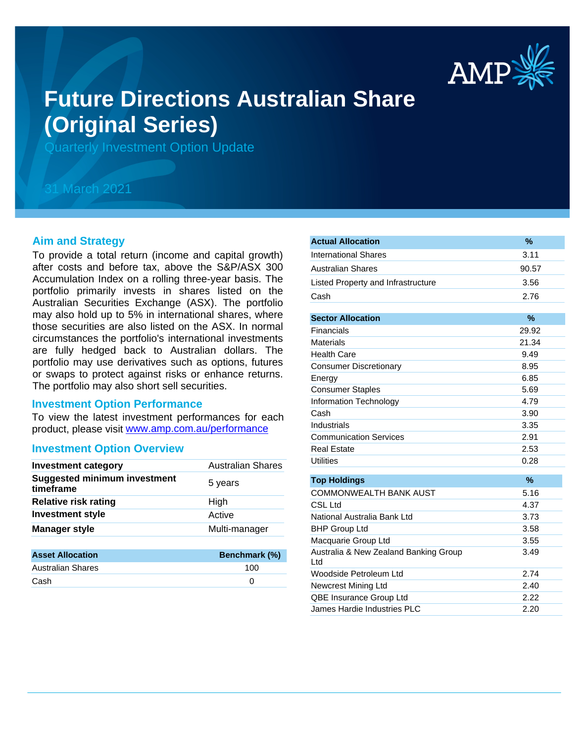

# **Future Directions Australian Share (Original Series)**

Quarterly Investment Option Update

## 31 March 2021

#### **Aim and Strategy**

To provide a total return (income and capital growth) after costs and before tax, above the S&P/ASX 300 Accumulation Index on a rolling three-year basis. The portfolio primarily invests in shares listed on the Australian Securities Exchange (ASX). The portfolio may also hold up to 5% in international shares, where those securities are also listed on the ASX. In normal circumstances the portfolio's international investments are fully hedged back to Australian dollars. The portfolio may use derivatives such as options, futures or swaps to protect against risks or enhance returns. The portfolio may also short sell securities.

#### **Investment Option Performance**

product, please visit www.amp.com.au/performance To view the latest investment performances for each

#### **Investment Option Overview**

| <b>Investment category</b>                       | <b>Australian Shares</b> |
|--------------------------------------------------|--------------------------|
| <b>Suggested minimum investment</b><br>timeframe | 5 years                  |
| <b>Relative risk rating</b>                      | High                     |
| <b>Investment style</b>                          | Active                   |
| <b>Manager style</b>                             | Multi-manager            |
|                                                  |                          |
| <b>Asset Allocation</b>                          | Benchmark (%)            |
| Australian Shares                                | 100                      |

Cash 0

| <b>Actual Allocation</b>                     | %     |
|----------------------------------------------|-------|
| <b>International Shares</b>                  | 3.11  |
| <b>Australian Shares</b>                     | 90.57 |
| Listed Property and Infrastructure           | 3.56  |
| Cash                                         | 2.76  |
|                                              |       |
| <b>Sector Allocation</b>                     | $\%$  |
| Financials                                   | 29.92 |
| <b>Materials</b>                             | 21.34 |
| <b>Health Care</b>                           | 9.49  |
| <b>Consumer Discretionary</b>                | 8.95  |
| Energy                                       | 6.85  |
| <b>Consumer Staples</b>                      | 5.69  |
| Information Technology                       | 4.79  |
| Cash                                         | 3.90  |
| Industrials                                  | 3.35  |
| <b>Communication Services</b>                | 2.91  |
| <b>Real Estate</b>                           | 2.53  |
| <b>Utilities</b>                             | 0.28  |
| <b>Top Holdings</b>                          | $\%$  |
| COMMONWEALTH BANK AUST                       | 5.16  |
| <b>CSL Ltd</b>                               | 4.37  |
| National Australia Bank Ltd                  | 3.73  |
| <b>BHP Group Ltd</b>                         | 3.58  |
| Macquarie Group Ltd                          | 3.55  |
| Australia & New Zealand Banking Group<br>Ltd | 3.49  |
| Woodside Petroleum Ltd                       | 2.74  |
| Newcrest Mining Ltd                          | 2.40  |
| QBE Insurance Group Ltd                      | 2.22  |
| James Hardie Industries PLC                  | 2.20  |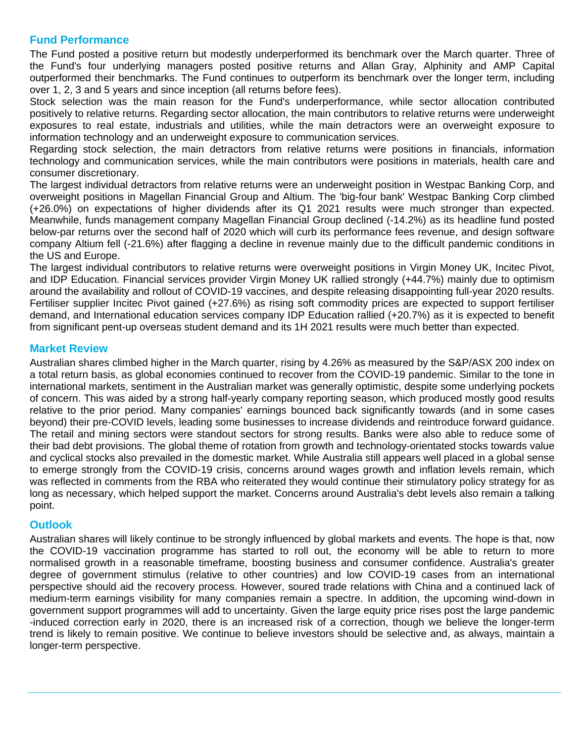## **Fund Performance**

The Fund posted a positive return but modestly underperformed its benchmark over the March quarter. Three of the Fund's four underlying managers posted positive returns and Allan Gray, Alphinity and AMP Capital outperformed their benchmarks. The Fund continues to outperform its benchmark over the longer term, including over 1, 2, 3 and 5 years and since inception (all returns before fees).

Stock selection was the main reason for the Fund's underperformance, while sector allocation contributed positively to relative returns. Regarding sector allocation, the main contributors to relative returns were underweight exposures to real estate, industrials and utilities, while the main detractors were an overweight exposure to information technology and an underweight exposure to communication services.

Regarding stock selection, the main detractors from relative returns were positions in financials, information technology and communication services, while the main contributors were positions in materials, health care and consumer discretionary.

The largest individual detractors from relative returns were an underweight position in Westpac Banking Corp, and overweight positions in Magellan Financial Group and Altium. The 'big-four bank' Westpac Banking Corp climbed (+26.0%) on expectations of higher dividends after its Q1 2021 results were much stronger than expected. Meanwhile, funds management company Magellan Financial Group declined (-14.2%) as its headline fund posted below-par returns over the second half of 2020 which will curb its performance fees revenue, and design software company Altium fell (-21.6%) after flagging a decline in revenue mainly due to the difficult pandemic conditions in the US and Europe.

The largest individual contributors to relative returns were overweight positions in Virgin Money UK, Incitec Pivot, and IDP Education. Financial services provider Virgin Money UK rallied strongly (+44.7%) mainly due to optimism around the availability and rollout of COVID-19 vaccines, and despite releasing disappointing full-year 2020 results. Fertiliser supplier Incitec Pivot gained (+27.6%) as rising soft commodity prices are expected to support fertiliser demand, and International education services company IDP Education rallied (+20.7%) as it is expected to benefit from significant pent-up overseas student demand and its 1H 2021 results were much better than expected.

## **Market Review**

Australian shares climbed higher in the March quarter, rising by 4.26% as measured by the S&P/ASX 200 index on a total return basis, as global economies continued to recover from the COVID-19 pandemic. Similar to the tone in international markets, sentiment in the Australian market was generally optimistic, despite some underlying pockets of concern. This was aided by a strong half-yearly company reporting season, which produced mostly good results relative to the prior period. Many companies' earnings bounced back significantly towards (and in some cases beyond) their pre-COVID levels, leading some businesses to increase dividends and reintroduce forward guidance. The retail and mining sectors were standout sectors for strong results. Banks were also able to reduce some of their bad debt provisions. The global theme of rotation from growth and technology-orientated stocks towards value and cyclical stocks also prevailed in the domestic market. While Australia still appears well placed in a global sense to emerge strongly from the COVID-19 crisis, concerns around wages growth and inflation levels remain, which was reflected in comments from the RBA who reiterated they would continue their stimulatory policy strategy for as long as necessary, which helped support the market. Concerns around Australia's debt levels also remain a talking point.

## **Outlook**

Australian shares will likely continue to be strongly influenced by global markets and events. The hope is that, now the COVID-19 vaccination programme has started to roll out, the economy will be able to return to more normalised growth in a reasonable timeframe, boosting business and consumer confidence. Australia's greater degree of government stimulus (relative to other countries) and low COVID-19 cases from an international perspective should aid the recovery process. However, soured trade relations with China and a continued lack of medium-term earnings visibility for many companies remain a spectre. In addition, the upcoming wind-down in government support programmes will add to uncertainty. Given the large equity price rises post the large pandemic -induced correction early in 2020, there is an increased risk of a correction, though we believe the longer-term trend is likely to remain positive. We continue to believe investors should be selective and, as always, maintain a longer-term perspective.